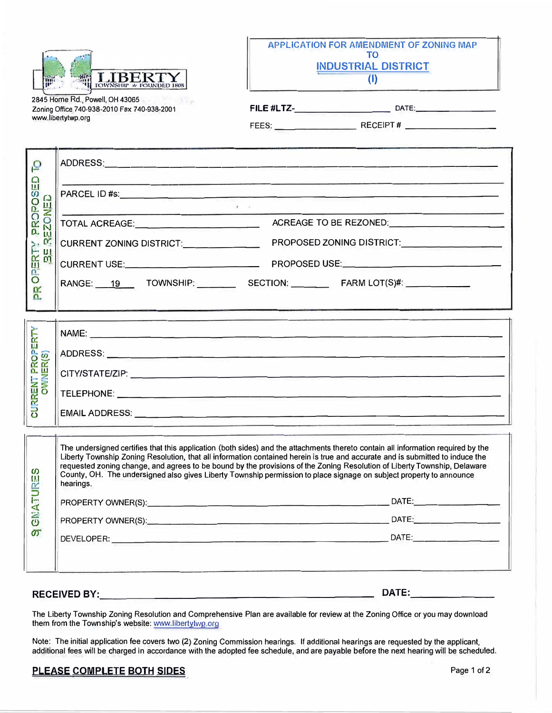



2845 Home Rd., Powell, OH 43065 Zoning Office 740-938-2010 Fax 740-938-2001 www.libertytwp.org

FEES: \_\_\_\_\_\_\_\_ RECEIPT# \_\_\_\_\_\_\_\_ \_

| $\overline{\mathbf{C}}$<br>$\Omega$<br>PROPOS<br>EZONED<br>C.<br>ERTY<br>$\frac{m}{2}$<br><b>BO</b><br>ΡŘ |                                             |                                                                                                                                                                                                                                                                                                                                                                                                                                                                                                                      |
|-----------------------------------------------------------------------------------------------------------|---------------------------------------------|----------------------------------------------------------------------------------------------------------------------------------------------------------------------------------------------------------------------------------------------------------------------------------------------------------------------------------------------------------------------------------------------------------------------------------------------------------------------------------------------------------------------|
|                                                                                                           | $\overline{1}$ $\overline{1}$               |                                                                                                                                                                                                                                                                                                                                                                                                                                                                                                                      |
|                                                                                                           | TOTAL ACREAGE:_____________________________ |                                                                                                                                                                                                                                                                                                                                                                                                                                                                                                                      |
|                                                                                                           | CURRENT ZONING DISTRICT:                    | PROPOSED ZONING DISTRICT:                                                                                                                                                                                                                                                                                                                                                                                                                                                                                            |
|                                                                                                           |                                             |                                                                                                                                                                                                                                                                                                                                                                                                                                                                                                                      |
|                                                                                                           | RANGE: 19 TOWNSHIP: SECTION: FARM LOT(S)#:  |                                                                                                                                                                                                                                                                                                                                                                                                                                                                                                                      |
| CURRENT PROPERTY<br><b>OWNER(S)</b>                                                                       |                                             |                                                                                                                                                                                                                                                                                                                                                                                                                                                                                                                      |
| <b>GNATURES</b><br>$\sigma$                                                                               | hearings.                                   | The undersigned certifies that this application (both sides) and the attachments thereto contain all information required by the<br>Liberty Township Zoning Resolution, that all information contained herein is true and accurate and is submitted to induce the<br>requested zoning change, and agrees to be bound by the provisions of the Zoning Resolution of Liberty Township, Delaware<br>County, OH. The undersigned also gives Liberty Township permission to place signage on subject property to announce |

The Liberty Township Zoning Resolution and Comprehensive Plan are available for review at the Zoning Office or you may download them from the Township's website: www.libertytwp.org

**RECEIVED BY: \_\_\_\_\_\_\_\_\_\_\_\_\_\_\_\_\_\_\_ \_ DATE: \_\_\_\_\_\_ \_**

Note: The initial application fee covers two (2) Zoning Commission hearings. If additional hearings are requested by the applicant, additional fees will be charged in accordance with the adopted fee schedule, and are payable before the next hearing will be scheduled.

## PLEASE COMPLETE BOTH SIDES **PLEASE** COMPLETE **BOTH** SIDES